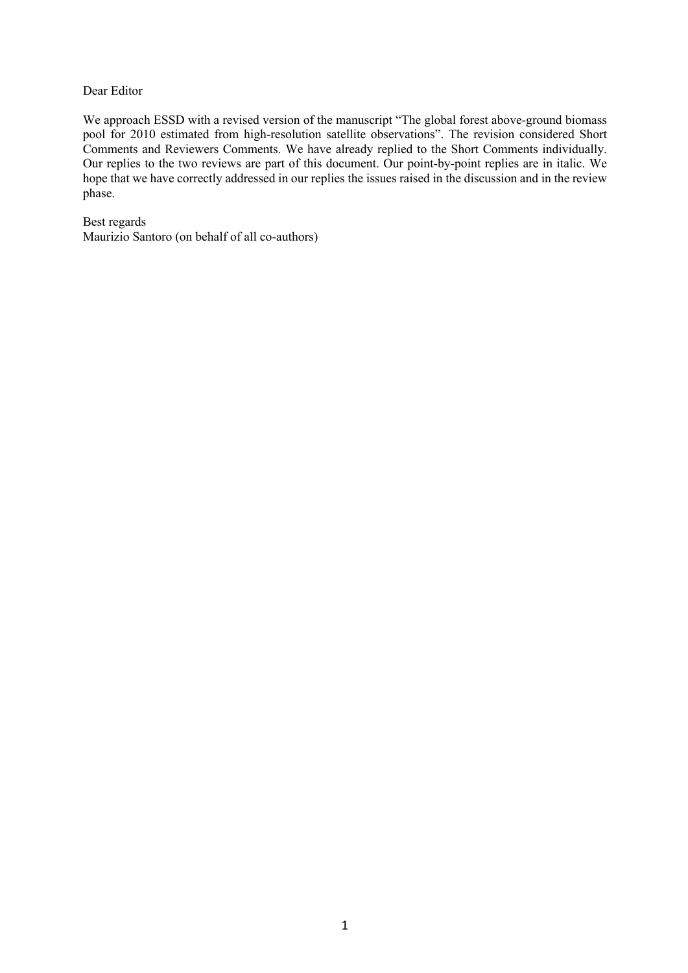### Dear Editor

We approach ESSD with a revised version of the manuscript "The global forest above-ground biomass pool for 2010 estimated from high-resolution satellite observations". The revision considered Short Comments and Reviewers Comments. We have already replied to the Short Comments individually. Our replies to the two reviews are part of this document. Our point-by-point replies are in italic. We hope that we have correctly addressed in our replies the issues raised in the discussion and in the review phase.

Best regards Maurizio Santoro (on behalf of all co-authors)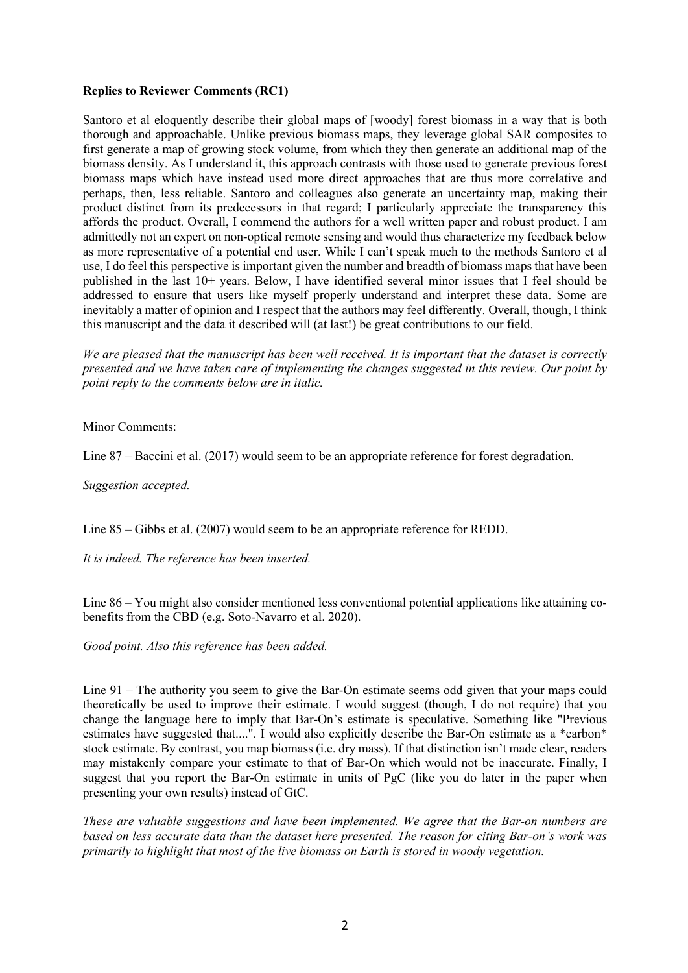# **Replies to Reviewer Comments (RC1)**

Santoro et al eloquently describe their global maps of [woody] forest biomass in a way that is both thorough and approachable. Unlike previous biomass maps, they leverage global SAR composites to first generate a map of growing stock volume, from which they then generate an additional map of the biomass density. As I understand it, this approach contrasts with those used to generate previous forest biomass maps which have instead used more direct approaches that are thus more correlative and perhaps, then, less reliable. Santoro and colleagues also generate an uncertainty map, making their product distinct from its predecessors in that regard; I particularly appreciate the transparency this affords the product. Overall, I commend the authors for a well written paper and robust product. I am admittedly not an expert on non-optical remote sensing and would thus characterize my feedback below as more representative of a potential end user. While I can't speak much to the methods Santoro et al use, I do feel this perspective is important given the number and breadth of biomass maps that have been published in the last 10+ years. Below, I have identified several minor issues that I feel should be addressed to ensure that users like myself properly understand and interpret these data. Some are inevitably a matter of opinion and I respect that the authors may feel differently. Overall, though, I think this manuscript and the data it described will (at last!) be great contributions to our field.

*We are pleased that the manuscript has been well received. It is important that the dataset is correctly presented and we have taken care of implementing the changes suggested in this review. Our point by point reply to the comments below are in italic.*

Minor Comments:

Line 87 – Baccini et al. (2017) would seem to be an appropriate reference for forest degradation.

*Suggestion accepted.*

Line 85 – Gibbs et al. (2007) would seem to be an appropriate reference for REDD.

*It is indeed. The reference has been inserted.*

Line 86 – You might also consider mentioned less conventional potential applications like attaining cobenefits from the CBD (e.g. Soto-Navarro et al. 2020).

*Good point. Also this reference has been added.*

Line 91 – The authority you seem to give the Bar-On estimate seems odd given that your maps could theoretically be used to improve their estimate. I would suggest (though, I do not require) that you change the language here to imply that Bar-On's estimate is speculative. Something like "Previous estimates have suggested that....". I would also explicitly describe the Bar-On estimate as a \*carbon\* stock estimate. By contrast, you map biomass (i.e. dry mass). If that distinction isn't made clear, readers may mistakenly compare your estimate to that of Bar-On which would not be inaccurate. Finally, I suggest that you report the Bar-On estimate in units of PgC (like you do later in the paper when presenting your own results) instead of GtC.

*These are valuable suggestions and have been implemented. We agree that the Bar-on numbers are based on less accurate data than the dataset here presented. The reason for citing Bar-on's work was primarily to highlight that most of the live biomass on Earth is stored in woody vegetation.*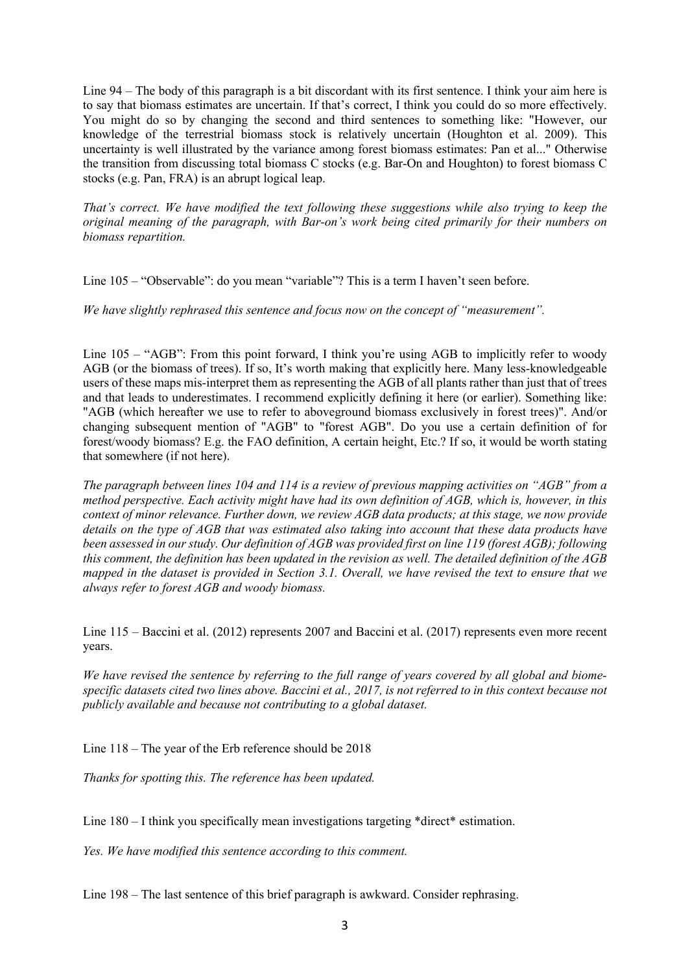Line 94 – The body of this paragraph is a bit discordant with its first sentence. I think your aim here is to say that biomass estimates are uncertain. If that's correct, I think you could do so more effectively. You might do so by changing the second and third sentences to something like: "However, our knowledge of the terrestrial biomass stock is relatively uncertain (Houghton et al. 2009). This uncertainty is well illustrated by the variance among forest biomass estimates: Pan et al..." Otherwise the transition from discussing total biomass C stocks (e.g. Bar-On and Houghton) to forest biomass C stocks (e.g. Pan, FRA) is an abrupt logical leap.

*That's correct. We have modified the text following these suggestions while also trying to keep the original meaning of the paragraph, with Bar-on's work being cited primarily for their numbers on biomass repartition.*

Line 105 – "Observable": do you mean "variable"? This is a term I haven't seen before.

*We have slightly rephrased this sentence and focus now on the concept of "measurement".*

Line  $105 -$  "AGB": From this point forward, I think you're using AGB to implicitly refer to woody AGB (or the biomass of trees). If so, It's worth making that explicitly here. Many less-knowledgeable users of these maps mis-interpret them as representing the AGB of all plants rather than just that of trees and that leads to underestimates. I recommend explicitly defining it here (or earlier). Something like: "AGB (which hereafter we use to refer to aboveground biomass exclusively in forest trees)". And/or changing subsequent mention of "AGB" to "forest AGB". Do you use a certain definition of for forest/woody biomass? E.g. the FAO definition, A certain height, Etc.? If so, it would be worth stating that somewhere (if not here).

*The paragraph between lines 104 and 114 is a review of previous mapping activities on "AGB" from a method perspective. Each activity might have had its own definition of AGB, which is, however, in this context of minor relevance. Further down, we review AGB data products; at this stage, we now provide details on the type of AGB that was estimated also taking into account that these data products have been assessed in our study. Our definition of AGB was provided first on line 119 (forest AGB); following this comment, the definition has been updated in the revision as well. The detailed definition of the AGB mapped in the dataset is provided in Section 3.1. Overall, we have revised the text to ensure that we always refer to forest AGB and woody biomass.*

Line 115 – Baccini et al. (2012) represents 2007 and Baccini et al. (2017) represents even more recent years.

*We have revised the sentence by referring to the full range of years covered by all global and biomespecific datasets cited two lines above. Baccini et al., 2017, is not referred to in this context because not publicly available and because not contributing to a global dataset.*

Line 118 – The year of the Erb reference should be 2018

*Thanks for spotting this. The reference has been updated.*

Line  $180 - I$  think you specifically mean investigations targeting \*direct\* estimation.

*Yes. We have modified this sentence according to this comment.*

Line 198 – The last sentence of this brief paragraph is awkward. Consider rephrasing.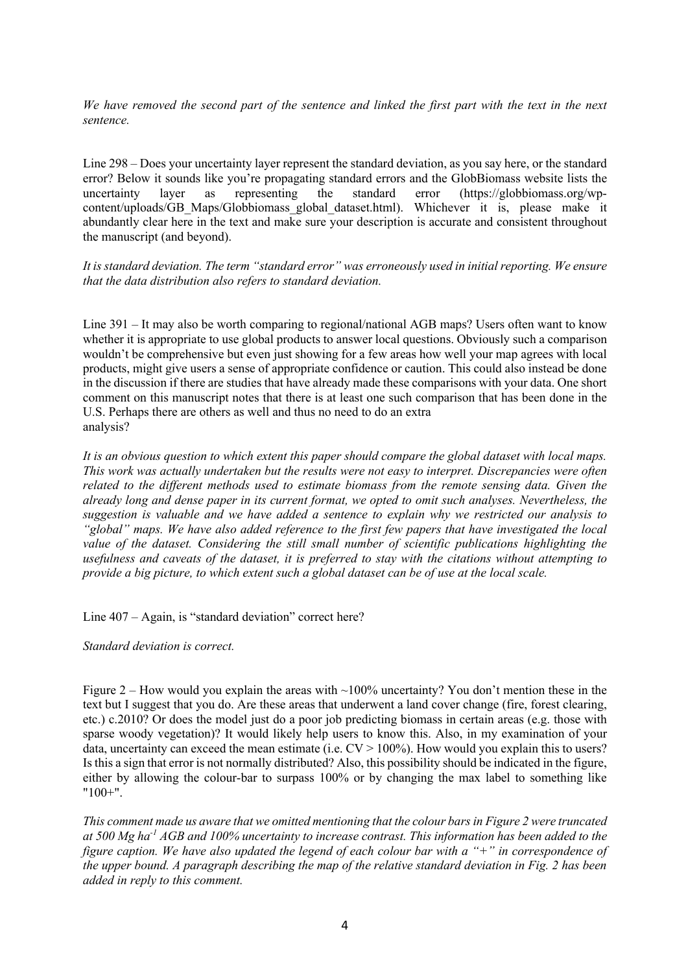*We have removed the second part of the sentence and linked the first part with the text in the next sentence.*

Line 298 – Does your uncertainty layer represent the standard deviation, as you say here, or the standard error? Below it sounds like you're propagating standard errors and the GlobBiomass website lists the uncertainty layer as representing the standard error (https://globbiomass.org/wpcontent/uploads/GB\_Maps/Globbiomass\_global\_dataset.html). Whichever it is, please make it abundantly clear here in the text and make sure your description is accurate and consistent throughout the manuscript (and beyond).

*It is standard deviation. The term "standard error" was erroneously used in initial reporting. We ensure that the data distribution also refers to standard deviation.*

Line 391 – It may also be worth comparing to regional/national AGB maps? Users often want to know whether it is appropriate to use global products to answer local questions. Obviously such a comparison wouldn't be comprehensive but even just showing for a few areas how well your map agrees with local products, might give users a sense of appropriate confidence or caution. This could also instead be done in the discussion if there are studies that have already made these comparisons with your data. One short comment on this manuscript notes that there is at least one such comparison that has been done in the U.S. Perhaps there are others as well and thus no need to do an extra analysis?

*It is an obvious question to which extent this paper should compare the global dataset with local maps. This work was actually undertaken but the results were not easy to interpret. Discrepancies were often related to the different methods used to estimate biomass from the remote sensing data. Given the already long and dense paper in its current format, we opted to omit such analyses. Nevertheless, the suggestion is valuable and we have added a sentence to explain why we restricted our analysis to "global" maps. We have also added reference to the first few papers that have investigated the local value of the dataset. Considering the still small number of scientific publications highlighting the usefulness and caveats of the dataset, it is preferred to stay with the citations without attempting to provide a big picture, to which extent such a global dataset can be of use at the local scale.*

Line 407 – Again, is "standard deviation" correct here?

*Standard deviation is correct.*

Figure 2 – How would you explain the areas with  $\sim$ 100% uncertainty? You don't mention these in the text but I suggest that you do. Are these areas that underwent a land cover change (fire, forest clearing, etc.) c.2010? Or does the model just do a poor job predicting biomass in certain areas (e.g. those with sparse woody vegetation)? It would likely help users to know this. Also, in my examination of your data, uncertainty can exceed the mean estimate (i.e.  $CV > 100\%$ ). How would you explain this to users? Is this a sign that error is not normally distributed? Also, this possibility should be indicated in the figure, either by allowing the colour-bar to surpass 100% or by changing the max label to something like  $"100+"$ 

*This comment made us aware that we omitted mentioning that the colour bars in Figure 2 were truncated at 500 Mg ha-1 AGB and 100% uncertainty to increase contrast. This information has been added to the figure caption. We have also updated the legend of each colour bar with a "+" in correspondence of the upper bound. A paragraph describing the map of the relative standard deviation in Fig. 2 has been added in reply to this comment.*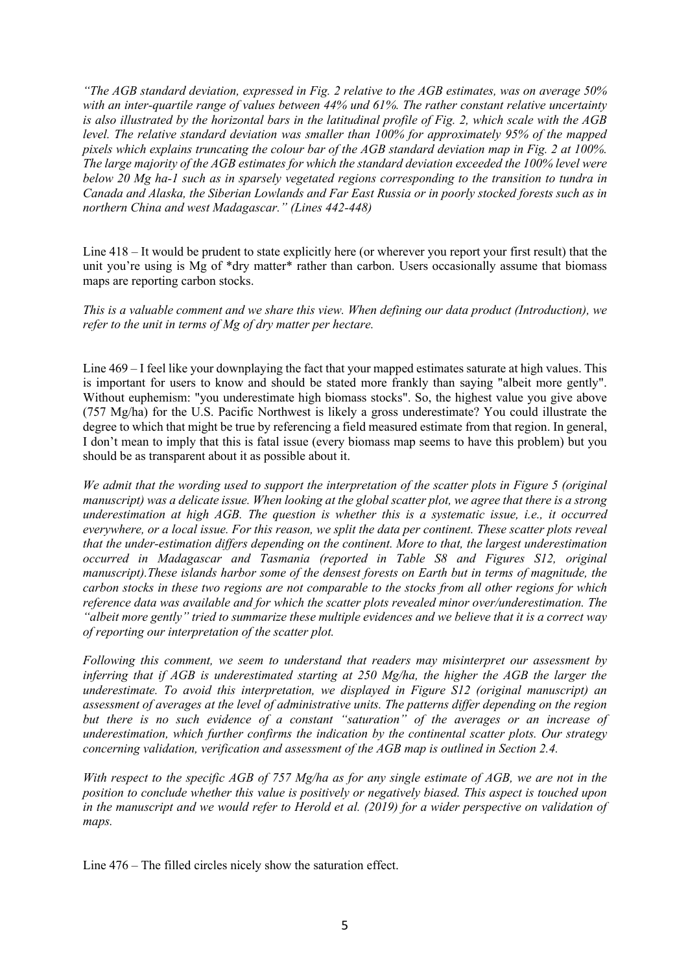*"The AGB standard deviation, expressed in Fig. 2 relative to the AGB estimates, was on average 50% with an inter-quartile range of values between 44% und 61%. The rather constant relative uncertainty is also illustrated by the horizontal bars in the latitudinal profile of Fig. 2, which scale with the AGB level. The relative standard deviation was smaller than 100% for approximately 95% of the mapped pixels which explains truncating the colour bar of the AGB standard deviation map in Fig. 2 at 100%. The large majority of the AGB estimates for which the standard deviation exceeded the 100% level were below 20 Mg ha-1 such as in sparsely vegetated regions corresponding to the transition to tundra in Canada and Alaska, the Siberian Lowlands and Far East Russia or in poorly stocked forests such as in northern China and west Madagascar." (Lines 442-448)* 

Line 418 – It would be prudent to state explicitly here (or wherever you report your first result) that the unit you're using is Mg of \*dry matter\* rather than carbon. Users occasionally assume that biomass maps are reporting carbon stocks.

*This is a valuable comment and we share this view. When defining our data product (Introduction), we refer to the unit in terms of Mg of dry matter per hectare.* 

Line 469 – I feel like your downplaying the fact that your mapped estimates saturate at high values. This is important for users to know and should be stated more frankly than saying "albeit more gently". Without euphemism: "you underestimate high biomass stocks". So, the highest value you give above (757 Mg/ha) for the U.S. Pacific Northwest is likely a gross underestimate? You could illustrate the degree to which that might be true by referencing a field measured estimate from that region. In general, I don't mean to imply that this is fatal issue (every biomass map seems to have this problem) but you should be as transparent about it as possible about it.

*We admit that the wording used to support the interpretation of the scatter plots in Figure 5 (original manuscript) was a delicate issue. When looking at the global scatter plot, we agree that there is a strong underestimation at high AGB. The question is whether this is a systematic issue, i.e., it occurred everywhere, or a local issue. For this reason, we split the data per continent. These scatter plots reveal that the under-estimation differs depending on the continent. More to that, the largest underestimation occurred in Madagascar and Tasmania (reported in Table S8 and Figures S12, original manuscript).These islands harbor some of the densest forests on Earth but in terms of magnitude, the carbon stocks in these two regions are not comparable to the stocks from all other regions for which reference data was available and for which the scatter plots revealed minor over/underestimation. The "albeit more gently" tried to summarize these multiple evidences and we believe that it is a correct way of reporting our interpretation of the scatter plot.* 

*Following this comment, we seem to understand that readers may misinterpret our assessment by inferring that if AGB is underestimated starting at 250 Mg/ha, the higher the AGB the larger the underestimate. To avoid this interpretation, we displayed in Figure S12 (original manuscript) an assessment of averages at the level of administrative units. The patterns differ depending on the region but there is no such evidence of a constant "saturation" of the averages or an increase of underestimation, which further confirms the indication by the continental scatter plots. Our strategy concerning validation, verification and assessment of the AGB map is outlined in Section 2.4.*

*With respect to the specific AGB of 757 Mg/ha as for any single estimate of AGB, we are not in the position to conclude whether this value is positively or negatively biased. This aspect is touched upon in the manuscript and we would refer to Herold et al. (2019) for a wider perspective on validation of maps.*

Line 476 – The filled circles nicely show the saturation effect.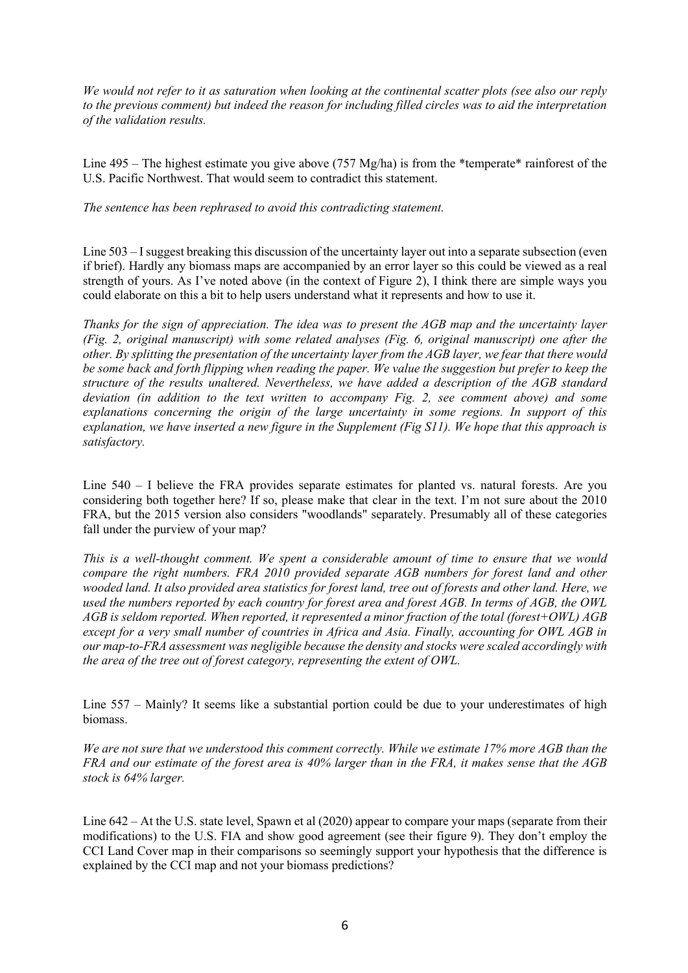*We would not refer to it as saturation when looking at the continental scatter plots (see also our reply to the previous comment) but indeed the reason for including filled circles was to aid the interpretation of the validation results.*

Line 495 – The highest estimate you give above (757 Mg/ha) is from the \*temperate\* rainforest of the U.S. Pacific Northwest. That would seem to contradict this statement.

*The sentence has been rephrased to avoid this contradicting statement.*

Line 503 – I suggest breaking this discussion of the uncertainty layer out into a separate subsection (even if brief). Hardly any biomass maps are accompanied by an error layer so this could be viewed as a real strength of yours. As I've noted above (in the context of Figure 2), I think there are simple ways you could elaborate on this a bit to help users understand what it represents and how to use it.

*Thanks for the sign of appreciation. The idea was to present the AGB map and the uncertainty layer (Fig. 2, original manuscript) with some related analyses (Fig. 6, original manuscript) one after the other. By splitting the presentation of the uncertainty layer from the AGB layer, we fear that there would be some back and forth flipping when reading the paper. We value the suggestion but prefer to keep the structure of the results unaltered. Nevertheless, we have added a description of the AGB standard deviation (in addition to the text written to accompany Fig. 2, see comment above) and some explanations concerning the origin of the large uncertainty in some regions. In support of this explanation, we have inserted a new figure in the Supplement (Fig S11). We hope that this approach is satisfactory.*

Line 540 – I believe the FRA provides separate estimates for planted vs. natural forests. Are you considering both together here? If so, please make that clear in the text. I'm not sure about the 2010 FRA, but the 2015 version also considers "woodlands" separately. Presumably all of these categories fall under the purview of your map?

*This is a well-thought comment. We spent a considerable amount of time to ensure that we would compare the right numbers. FRA 2010 provided separate AGB numbers for forest land and other wooded land. It also provided area statistics for forest land, tree out of forests and other land. Here, we used the numbers reported by each country for forest area and forest AGB. In terms of AGB, the OWL AGB is seldom reported. When reported, it represented a minor fraction of the total (forest+OWL) AGB except for a very small number of countries in Africa and Asia. Finally, accounting for OWL AGB in our map-to-FRA assessment was negligible because the density and stocks were scaled accordingly with the area of the tree out of forest category, representing the extent of OWL.*

Line 557 – Mainly? It seems like a substantial portion could be due to your underestimates of high biomass.

*We are not sure that we understood this comment correctly. While we estimate 17% more AGB than the FRA and our estimate of the forest area is 40% larger than in the FRA, it makes sense that the AGB stock is 64% larger.* 

Line 642 – At the U.S. state level, Spawn et al (2020) appear to compare your maps (separate from their modifications) to the U.S. FIA and show good agreement (see their figure 9). They don't employ the CCI Land Cover map in their comparisons so seemingly support your hypothesis that the difference is explained by the CCI map and not your biomass predictions?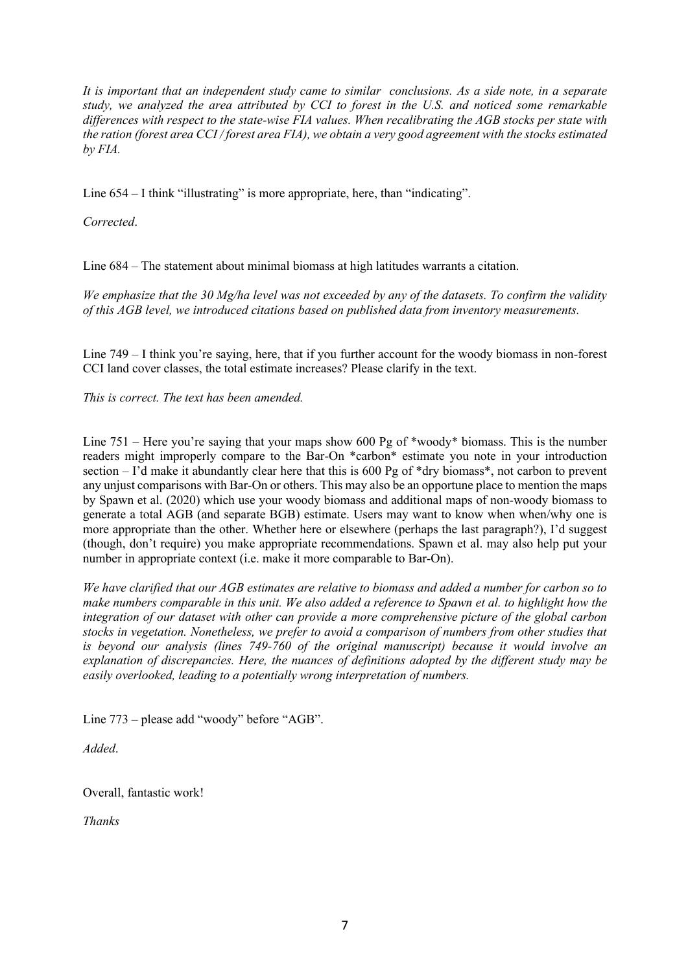*It is important that an independent study came to similar conclusions. As a side note, in a separate study, we analyzed the area attributed by CCI to forest in the U.S. and noticed some remarkable differences with respect to the state-wise FIA values. When recalibrating the AGB stocks per state with the ration (forest area CCI / forest area FIA), we obtain a very good agreement with the stocks estimated by FIA.* 

Line 654 – I think "illustrating" is more appropriate, here, than "indicating".

*Corrected*.

Line 684 – The statement about minimal biomass at high latitudes warrants a citation.

*We emphasize that the 30 Mg/ha level was not exceeded by any of the datasets. To confirm the validity of this AGB level, we introduced citations based on published data from inventory measurements.*

Line 749 – I think you're saying, here, that if you further account for the woody biomass in non-forest CCI land cover classes, the total estimate increases? Please clarify in the text.

*This is correct. The text has been amended.*

Line 751 – Here you're saying that your maps show 600 Pg of \*woody\* biomass. This is the number readers might improperly compare to the Bar-On \*carbon\* estimate you note in your introduction section  $-1$ 'd make it abundantly clear here that this is 600 Pg of  $*$ dry biomass $*$ , not carbon to prevent any unjust comparisons with Bar-On or others. This may also be an opportune place to mention the maps by Spawn et al. (2020) which use your woody biomass and additional maps of non-woody biomass to generate a total AGB (and separate BGB) estimate. Users may want to know when when/why one is more appropriate than the other. Whether here or elsewhere (perhaps the last paragraph?), I'd suggest (though, don't require) you make appropriate recommendations. Spawn et al. may also help put your number in appropriate context (i.e. make it more comparable to Bar-On).

*We have clarified that our AGB estimates are relative to biomass and added a number for carbon so to make numbers comparable in this unit. We also added a reference to Spawn et al. to highlight how the integration of our dataset with other can provide a more comprehensive picture of the global carbon stocks in vegetation. Nonetheless, we prefer to avoid a comparison of numbers from other studies that is beyond our analysis (lines 749-760 of the original manuscript) because it would involve an explanation of discrepancies. Here, the nuances of definitions adopted by the different study may be easily overlooked, leading to a potentially wrong interpretation of numbers.* 

Line 773 – please add "woody" before "AGB".

*Added*.

Overall, fantastic work!

*Thanks*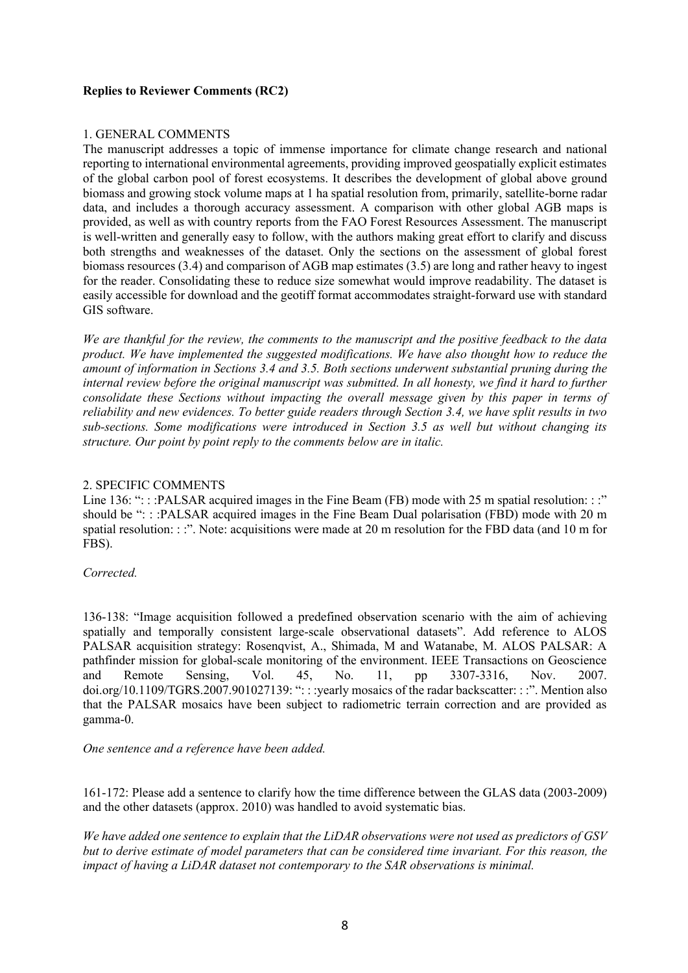# **Replies to Reviewer Comments (RC2)**

### 1. GENERAL COMMENTS

The manuscript addresses a topic of immense importance for climate change research and national reporting to international environmental agreements, providing improved geospatially explicit estimates of the global carbon pool of forest ecosystems. It describes the development of global above ground biomass and growing stock volume maps at 1 ha spatial resolution from, primarily, satellite-borne radar data, and includes a thorough accuracy assessment. A comparison with other global AGB maps is provided, as well as with country reports from the FAO Forest Resources Assessment. The manuscript is well-written and generally easy to follow, with the authors making great effort to clarify and discuss both strengths and weaknesses of the dataset. Only the sections on the assessment of global forest biomass resources (3.4) and comparison of AGB map estimates (3.5) are long and rather heavy to ingest for the reader. Consolidating these to reduce size somewhat would improve readability. The dataset is easily accessible for download and the geotiff format accommodates straight-forward use with standard GIS software.

*We are thankful for the review, the comments to the manuscript and the positive feedback to the data product. We have implemented the suggested modifications. We have also thought how to reduce the amount of information in Sections 3.4 and 3.5. Both sections underwent substantial pruning during the internal review before the original manuscript was submitted. In all honesty, we find it hard to further consolidate these Sections without impacting the overall message given by this paper in terms of reliability and new evidences. To better guide readers through Section 3.4, we have split results in two sub-sections. Some modifications were introduced in Section 3.5 as well but without changing its structure. Our point by point reply to the comments below are in italic.*

## 2. SPECIFIC COMMENTS

Line 136: ": : :PALSAR acquired images in the Fine Beam (FB) mode with 25 m spatial resolution: : :" should be ": : :PALSAR acquired images in the Fine Beam Dual polarisation (FBD) mode with 20 m spatial resolution: ::". Note: acquisitions were made at 20 m resolution for the FBD data (and 10 m for FBS).

#### *Corrected.*

136-138: "Image acquisition followed a predefined observation scenario with the aim of achieving spatially and temporally consistent large-scale observational datasets". Add reference to ALOS PALSAR acquisition strategy: Rosenqvist, A., Shimada, M and Watanabe, M. ALOS PALSAR: A pathfinder mission for global-scale monitoring of the environment. IEEE Transactions on Geoscience and Remote Sensing, Vol. 45, No. 11, pp 3307-3316, Nov. 2007. doi.org/10.1109/TGRS.2007.901027139: ": : :yearly mosaics of the radar backscatter: : :". Mention also that the PALSAR mosaics have been subject to radiometric terrain correction and are provided as gamma-0.

*One sentence and a reference have been added.* 

161-172: Please add a sentence to clarify how the time difference between the GLAS data (2003-2009) and the other datasets (approx. 2010) was handled to avoid systematic bias.

*We have added one sentence to explain that the LiDAR observations were not used as predictors of GSV but to derive estimate of model parameters that can be considered time invariant. For this reason, the impact of having a LiDAR dataset not contemporary to the SAR observations is minimal.*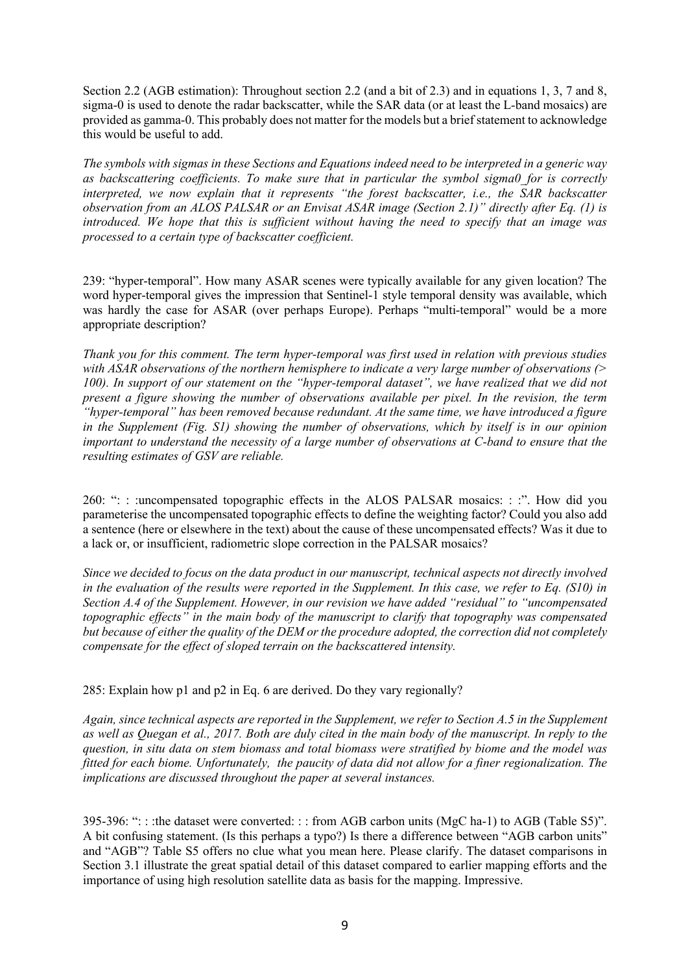Section 2.2 (AGB estimation): Throughout section 2.2 (and a bit of 2.3) and in equations 1, 3, 7 and 8, sigma-0 is used to denote the radar backscatter, while the SAR data (or at least the L-band mosaics) are provided as gamma-0. This probably does not matter for the models but a brief statement to acknowledge this would be useful to add.

*The symbols with sigmas in these Sections and Equations indeed need to be interpreted in a generic way as backscattering coefficients. To make sure that in particular the symbol sigma0\_for is correctly interpreted, we now explain that it represents "the forest backscatter, i.e., the SAR backscatter observation from an ALOS PALSAR or an Envisat ASAR image (Section 2.1)" directly after Eq. (1) is introduced. We hope that this is sufficient without having the need to specify that an image was processed to a certain type of backscatter coefficient.*

239: "hyper-temporal". How many ASAR scenes were typically available for any given location? The word hyper-temporal gives the impression that Sentinel-1 style temporal density was available, which was hardly the case for ASAR (over perhaps Europe). Perhaps "multi-temporal" would be a more appropriate description?

*Thank you for this comment. The term hyper-temporal was first used in relation with previous studies with ASAR observations of the northern hemisphere to indicate a very large number of observations (> 100). In support of our statement on the "hyper-temporal dataset", we have realized that we did not present a figure showing the number of observations available per pixel. In the revision, the term "hyper-temporal" has been removed because redundant. At the same time, we have introduced a figure in the Supplement (Fig. S1) showing the number of observations, which by itself is in our opinion important to understand the necessity of a large number of observations at C-band to ensure that the resulting estimates of GSV are reliable.* 

260: ": : :uncompensated topographic effects in the ALOS PALSAR mosaics: : :". How did you parameterise the uncompensated topographic effects to define the weighting factor? Could you also add a sentence (here or elsewhere in the text) about the cause of these uncompensated effects? Was it due to a lack or, or insufficient, radiometric slope correction in the PALSAR mosaics?

*Since we decided to focus on the data product in our manuscript, technical aspects not directly involved in the evaluation of the results were reported in the Supplement. In this case, we refer to Eq. (S10) in Section A.4 of the Supplement. However, in our revision we have added "residual" to "uncompensated topographic effects" in the main body of the manuscript to clarify that topography was compensated but because of either the quality of the DEM or the procedure adopted, the correction did not completely compensate for the effect of sloped terrain on the backscattered intensity.* 

285: Explain how p1 and p2 in Eq. 6 are derived. Do they vary regionally?

*Again, since technical aspects are reported in the Supplement, we refer to Section A.5 in the Supplement as well as Quegan et al., 2017. Both are duly cited in the main body of the manuscript. In reply to the question, in situ data on stem biomass and total biomass were stratified by biome and the model was fitted for each biome. Unfortunately, the paucity of data did not allow for a finer regionalization. The implications are discussed throughout the paper at several instances.*

395-396: ": : :the dataset were converted: : : from AGB carbon units (MgC ha-1) to AGB (Table S5)". A bit confusing statement. (Is this perhaps a typo?) Is there a difference between "AGB carbon units" and "AGB"? Table S5 offers no clue what you mean here. Please clarify. The dataset comparisons in Section 3.1 illustrate the great spatial detail of this dataset compared to earlier mapping efforts and the importance of using high resolution satellite data as basis for the mapping. Impressive.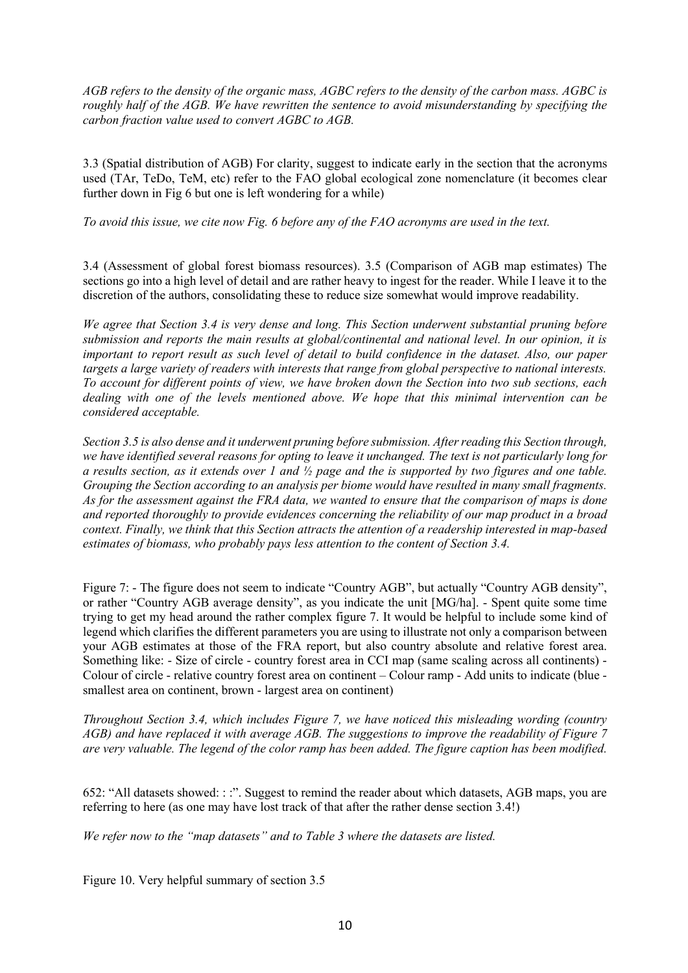*AGB refers to the density of the organic mass, AGBC refers to the density of the carbon mass. AGBC is roughly half of the AGB. We have rewritten the sentence to avoid misunderstanding by specifying the carbon fraction value used to convert AGBC to AGB.*

3.3 (Spatial distribution of AGB) For clarity, suggest to indicate early in the section that the acronyms used (TAr, TeDo, TeM, etc) refer to the FAO global ecological zone nomenclature (it becomes clear further down in Fig 6 but one is left wondering for a while)

*To avoid this issue, we cite now Fig. 6 before any of the FAO acronyms are used in the text.*

3.4 (Assessment of global forest biomass resources). 3.5 (Comparison of AGB map estimates) The sections go into a high level of detail and are rather heavy to ingest for the reader. While I leave it to the discretion of the authors, consolidating these to reduce size somewhat would improve readability.

*We agree that Section 3.4 is very dense and long. This Section underwent substantial pruning before submission and reports the main results at global/continental and national level. In our opinion, it is important to report result as such level of detail to build confidence in the dataset. Also, our paper targets a large variety of readers with interests that range from global perspective to national interests. To account for different points of view, we have broken down the Section into two sub sections, each dealing with one of the levels mentioned above. We hope that this minimal intervention can be considered acceptable.*

*Section 3.5 is also dense and it underwent pruning before submission. After reading this Section through, we have identified several reasons for opting to leave it unchanged. The text is not particularly long for a results section, as it extends over 1 and ½ page and the is supported by two figures and one table. Grouping the Section according to an analysis per biome would have resulted in many small fragments. As for the assessment against the FRA data, we wanted to ensure that the comparison of maps is done and reported thoroughly to provide evidences concerning the reliability of our map product in a broad context. Finally, we think that this Section attracts the attention of a readership interested in map-based estimates of biomass, who probably pays less attention to the content of Section 3.4.* 

Figure 7: - The figure does not seem to indicate "Country AGB", but actually "Country AGB density", or rather "Country AGB average density", as you indicate the unit [MG/ha]. - Spent quite some time trying to get my head around the rather complex figure 7. It would be helpful to include some kind of legend which clarifies the different parameters you are using to illustrate not only a comparison between your AGB estimates at those of the FRA report, but also country absolute and relative forest area. Something like: - Size of circle - country forest area in CCI map (same scaling across all continents) - Colour of circle - relative country forest area on continent – Colour ramp - Add units to indicate (blue smallest area on continent, brown - largest area on continent)

*Throughout Section 3.4, which includes Figure 7, we have noticed this misleading wording (country AGB) and have replaced it with average AGB. The suggestions to improve the readability of Figure 7 are very valuable. The legend of the color ramp has been added. The figure caption has been modified.*

652: "All datasets showed: : :". Suggest to remind the reader about which datasets, AGB maps, you are referring to here (as one may have lost track of that after the rather dense section 3.4!)

*We refer now to the "map datasets" and to Table 3 where the datasets are listed.*

Figure 10. Very helpful summary of section 3.5